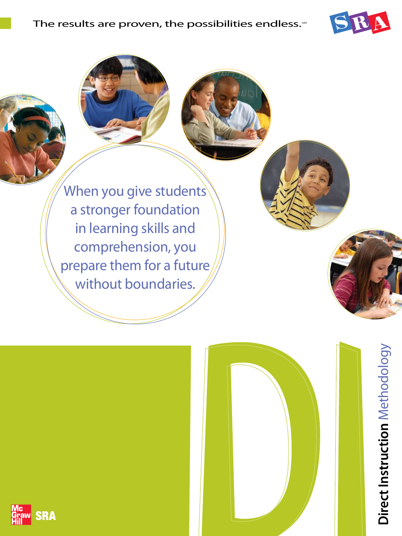

Direct Instruction Methodology **Direct Instruction** Methodology

When you give students a stronger foundation in learning skills and comprehension, you prepare them for a future without boundaries.



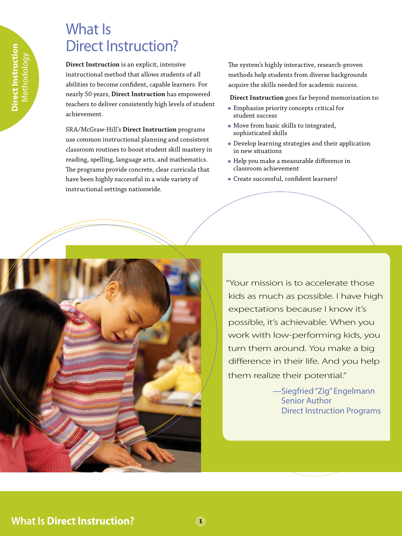#### What Is Direct Instruction?

**Direct Instruction** is an explicit, intensive instructional method that allows students of all abilities to become confident, capable learners. For nearly 50 years, **Direct Instruction** has empowered teachers to deliver consistently high levels of student achievement.

SRA/McGraw-Hill's **Direct Instruction** programs use common instructional planning and consistent classroom routines to boost student skill mastery in reading, spelling, language arts, and mathematics. The programs provide concrete, clear curricula that have been highly successful in a wide variety of instructional settings nationwide.

The system's highly interactive, research-proven methods help students from diverse backgrounds acquire the skills needed for academic success.

**Direct Instruction** goes far beyond memorization to:

- Emphasize priority concepts critical for student success
- Move from basic skills to integrated, sophisticated skills
- Develop learning strategies and their application in new situations
- Help you make a measurable difference in classroom achievement
- Create successful, confident learners!



"Your mission is to accelerate those kids as much as possible. I have high expectations because I know it's possible, it's achievable. When you work with low-performing kids, you turn them around. You make a big difference in their life. And you help them realize their potential."

> —Siegfried"Zig" Engelmann Senior Author Direct Instruction Programs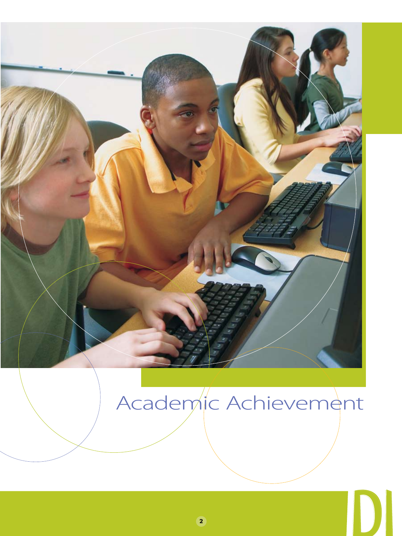

# Academic Achievement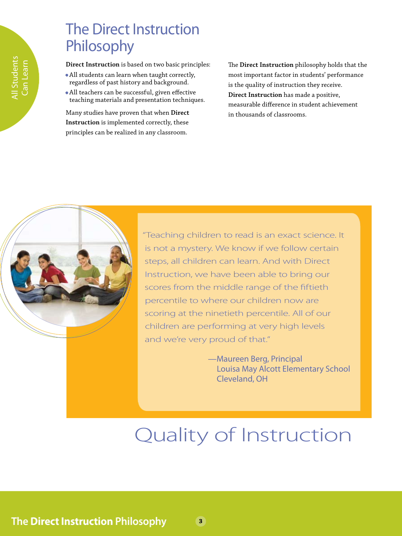### The Direct Instruction Philosophy

**Direct Instruction** is based on two basic principles:

- All students can learn when taught correctly, regardless of past history and background.
- All teachers can be successful, given effective teaching materials and presentation techniques.

Many studies have proven that when **Direct Instruction** is implemented correctly, these principles can be realized in any classroom.

The **Direct Instruction** philosophy holds that the most important factor in students' performance is the quality of instruction they receive. **Direct Instruction** has made a positive, measurable difference in student achievement in thousands of classrooms.



"Teaching children to read is an exact science. It is not a mystery. We know if we follow certain steps, all children can learn. And with Direct Instruction, we have been able to bring our scores from the middle range of the fiftieth percentile to where our children now are scoring at the ninetieth percentile. All of our children are performing at very high levels and we're very proud of that."

> —Maureen Berg, Principal Louisa May Alcott Elementary School Cleveland, OH

# Quality of Instruction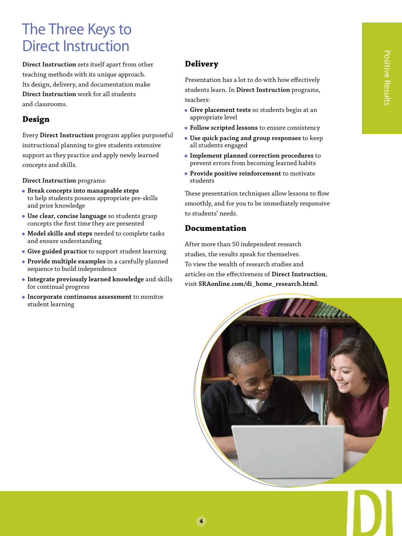### The Three Keys to Direct Instruction

**Direct Instruction** sets itself apart from other teaching methods with its unique approach. Its design, delivery, and documentation make **Direct Instruction** work for all students and classrooms.

#### **Design**

Every **Direct Instruction** program applies purposeful instructional planning to give students extensive support as they practice and apply newly learned concepts and skills.

**Direct Instruction** programs:

- **Break concepts into manageable steps**  to help students possess appropriate pre-skills and prior knowledge
- **Use clear, concise language** so students grasp concepts the first time they are presented
- **Model skills and steps** needed to complete tasks and ensure understanding
- **Give guided practice** to support student learning
- **Provide multiple examples** in a carefully planned sequence to build independence
- **Integrate previously learned knowledge** and skills for continual progress
- **Incorporate continuous assessment** to monitor student learning

#### **Delivery**

Presentation has a lot to do with how effectively students learn. In **Direct Instruction** programs, teachers:

- **Give placement tests** so students begin at an appropriate level
- **Follow scripted lessons** to ensure consistency
- **Use quick pacing and group responses** to keep all students engaged
- **Implement planned correction procedures** to prevent errors from becoming learned habits
- **Provide positive reinforcement** to motivate students

These presentation techniques allow lessons to flow smoothly, and for you to be immediately responsive to students' needs.

#### **Documentation**

After more than 50 independent research studies, the results speak for themselves. To view the wealth of research studies and articles on the effectiveness of **Direct Instruction**, visit **SRAonline.com/di\_home\_research.html**.

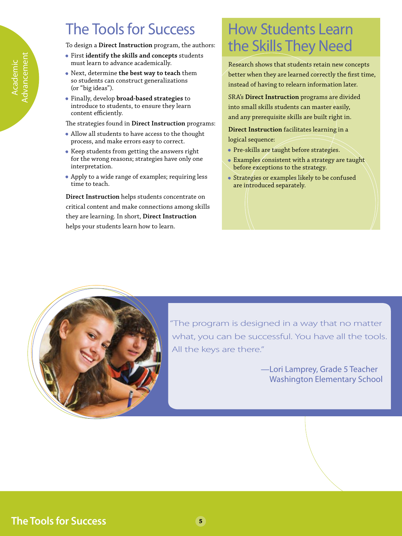### **The Tools for Success**

To design a **Direct Instruction** program, the authors:

- First **identify the skills and concepts** students must learn to advance academically.
- Next, determine **the best way to teach** them so students can construct generalizations (or "big ideas").

Academic Advancement

dvancemen **cademic** 

• Finally, develop **broad-based strategies** to introduce to students, to ensure they learn content efficiently.

The strategies found in **Direct Instruction** programs:

- Allow all students to have access to the thought process, and make errors easy to correct.
- Keep students from getting the answers right for the wrong reasons; strategies have only one interpretation.
- Apply to a wide range of examples; requiring less time to teach.

**Direct Instruction** helps students concentrate on critical content and make connections among skills they are learning. In short, **Direct Instruction** helps your students learn how to learn.

### How Students Learn the Skills They Need

Research shows that students retain new concepts better when they are learned correctly the first time, instead of having to relearn information later.

SRA's **Direct Instruction** programs are divided into small skills students can master easily, and any prerequisite skills are built right in.

**Direct Instruction** facilitates learning in a logical sequence:

- Pre-skills are taught before strategies.
- Examples consistent with a strategy are taught before exceptions to the strategy.
- Strategies or examples likely to be confused are introduced separately.



"The program is designed in a way that no matter what, you can be successful. You have all the tools. All the keys are there."

> —Lori Lamprey, Grade 5 Teacher Washington Elementary School

**The Tools for Success**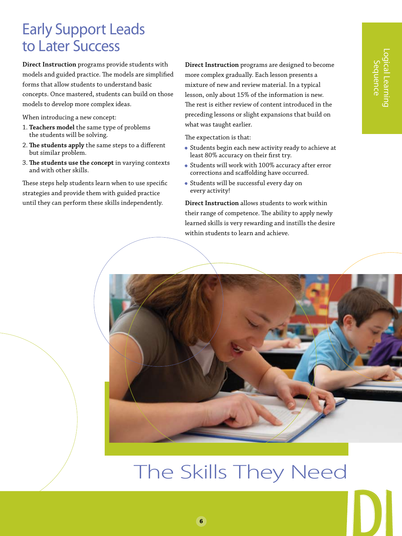#### Early Support Leads to Later Success

**Direct Instruction** programs provide students with models and guided practice. The models are simplified forms that allow students to understand basic concepts. Once mastered, students can build on those models to develop more complex ideas.

When introducing a new concept:

- 1. **Teachers model** the same type of problems the students will be solving.
- 2. **The students apply** the same steps to a different but similar problem.
- 3. **The students use the concept** in varying contexts and with other skills.

These steps help students learn when to use specific strategies and provide them with guided practice until they can perform these skills independently.

**Direct Instruction** programs are designed to become more complex gradually. Each lesson presents a mixture of new and review material. In a typical lesson, only about 15% of the information is new. The rest is either review of content introduced in the preceding lessons or slight expansions that build on what was taught earlier.

The expectation is that:

- Students begin each new activity ready to achieve at least 80% accuracy on their first try.
- Students will work with 100% accuracy after error corrections and scaffolding have occurred.
- Students will be successful every day on every activity!

**Direct Instruction** allows students to work within their range of competence. The ability to apply newly learned skills is very rewarding and instills the desire within students to learn and achieve.



# The Skills They Need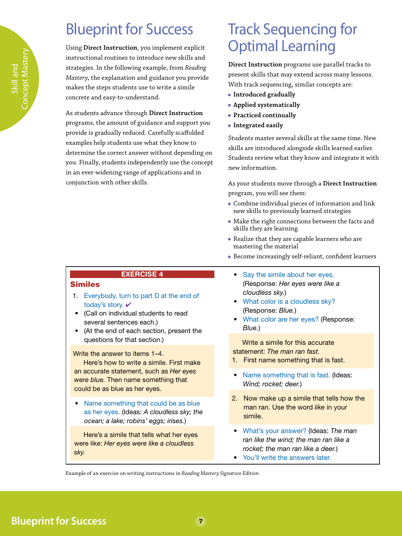### Blueprint for Success

Using **Direct Instruction**, you implement explicit instructional routines to introduce new skills and strategies. In the following example, from *Reading Mastery*, the explanation and guidance you provide makes the steps students use to write a simile concrete and easy-to-understand.

As students advance through **Direct Instruction** programs, the amount of guidance and support you provide is gradually reduced. Carefully scaffolded examples help students use what they know to determine the correct answer without depending on you. Finally, students independently use the concept in an ever-widening range of applications and in conjunction with other skills.

### Track Sequencing for Optimal Learning

**Direct Instruction** programs use parallel tracks to present skills that may extend across many lessons. With track sequencing, similar concepts are:

- **Introduced gradually**
- **Applied systematically**
- **Practiced continually**
- **Integrated easily**

Students master several skills at the same time. New skills are introduced alongside skills learned earlier. Students review what they know and integrate it with new information.

As your students move through a **Direct Instruction** program, you will see them:

- Combine individual pieces of information and link new skills to previously learned strategies
- Make the right connections between the facts and skills they are learning
- Realize that they are capable learners who are mastering the material
- Become increasingly self-reliant, confident learners
- Say the simile about her eyes. (Response: *Her eyes were like a cloudless sky.*)
- What color is a cloudless sky? (Response: *Blue.*)
- What color are her eyes? (Response: *Blue.*)

Write a simile for this accurate statement: *The man ran fast.*

- 1. First name something that is fast.
- Name something that is fast. (Ideas: *Wind; rocket; deer.*)
- 2. Now make up a simile that tells how the man ran. Use the word *like* in your simile.
- What's your answer? (Ideas: *The man ran like the wind; the man ran like a rocket; the man ran like a deer.*)
- You'll write the answers later.

Example of an exercise on writing instructions in *Reading Mastery Signature Edition*.

oncept Mastery Concept Mastery Skill and

#### EXERCISE 4

#### Similes

- 1. Everybody, turn to part D at the end of today's story. ✔
- (Call on individual students to read several sentences each.)
- (At the end of each section, present the questions for that section.)

Write the answer to items 1–4.

Here's how to write a simile. First make an accurate statement, such as *Her eyes were blue.* Then name something that could be as blue as her eyes.

• Name something that could be as blue as her eyes. (Ideas: *A cloudless sky; the ocean; a lake; robins' eggs; irises.*)

Here's a simile that tells what her eyes were like: *Her eyes were like a cloudless sky.*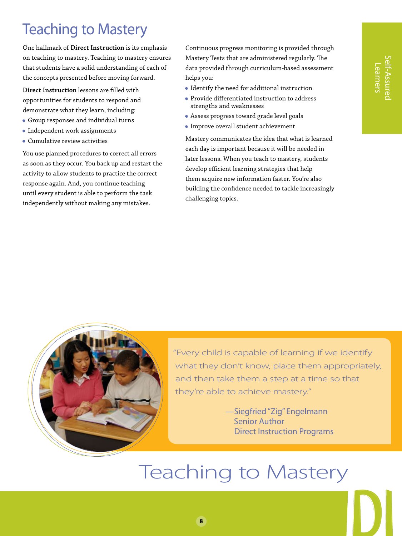#### Self-Assured elf-Assurec Learners Learners

### Teaching to Mastery

One hallmark of **Direct Instruction** is its emphasis on teaching to mastery. Teaching to mastery ensures that students have a solid understanding of each of the concepts presented before moving forward.

**Direct Instruction** lessons are filled with opportunities for students to respond and demonstrate what they learn, including:

- Group responses and individual turns
- Independent work assignments
- Cumulative review activities

You use planned procedures to correct all errors as soon as they occur. You back up and restart the activity to allow students to practice the correct response again. And, you continue teaching until every student is able to perform the task independently without making any mistakes.

Continuous progress monitoring is provided through Mastery Tests that are administered regularly. The data provided through curriculum-based assessment helps you:

- Identify the need for additional instruction
- Provide differentiated instruction to address strengths and weaknesses
- Assess progress toward grade level goals
- Improve overall student achievement

Mastery communicates the idea that what is learned each day is important because it will be needed in later lessons. When you teach to mastery, students develop efficient learning strategies that help them acquire new information faster. You're also building the confidence needed to tackle increasingly challenging topics.



"Every child is capable of learning if we identify what they don't know, place them appropriately, and then take them a step at a time so that they're able to achieve mastery."

> —Siegfried"Zig" Engelmann Senior Author Direct Instruction Programs

## Teaching to Mastery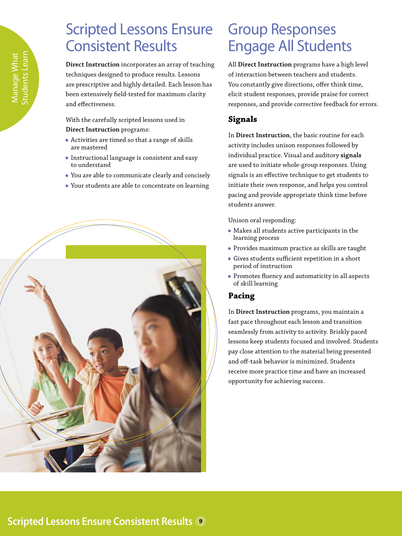### Scripted Lessons Ensure Consistent Results

**Direct Instruction** incorporates an array of teaching techniques designed to produce results. Lessons are prescriptive and highly detailed. Each lesson has been extensively field-tested for maximum clarity and effectiveness.

With the carefully scripted lessons used in **Direct Instruction** programs:

- Activities are timed so that a range of skills are mastered
- Instructional language is consistent and easy to understand
- You are able to communicate clearly and concisely
- Your students are able to concentrate on learning



### Group Responses Engage All Students

All **Direct Instruction** programs have a high level of interaction between teachers and students. You constantly give directions, offer think time, elicit student responses, provide praise for correct responses, and provide corrective feedback for errors.

#### **Signals**

In **Direct Instruction**, the basic routine for each activity includes unison responses followed by individual practice. Visual and auditory **signals** are used to initiate whole-group responses. Using signals is an effective technique to get students to initiate their own response, and helps you control pacing and provide appropriate think time before students answer.

Unison oral responding:

- Makes all students active participants in the learning process
- Provides maximum practice as skills are taught
- Gives students sufficient repetition in a short period of instruction
- Promotes fluency and automaticity in all aspects of skill learning

#### **Pacing**

In **Direct Instruction** programs, you maintain a fast pace throughout each lesson and transition seamlessly from activity to activity. Briskly paced lessons keep students focused and involved. Students pay close attention to the material being presented and off-task behavior is minimized. Students receive more practice time and have an increased opportunity for achieving success.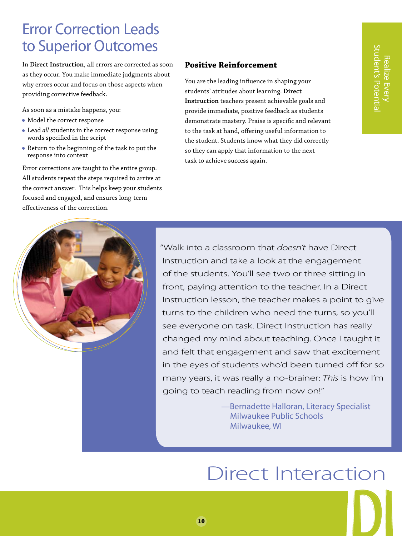#### Error Correction Leads to Superior Outcomes

In **Direct Instruction**, all errors are corrected as soon as they occur. You make immediate judgments about why errors occur and focus on those aspects when providing corrective feedback.

As soon as a mistake happens, you:

- Model the correct response
- Lead *all* students in the correct response using words specified in the script
- Return to the beginning of the task to put the response into context

Error corrections are taught to the entire group. All students repeat the steps required to arrive at the correct answer. This helps keep your students focused and engaged, and ensures long-term effectiveness of the correction.

#### **Positive Reinforcement**

You are the leading influence in shaping your students' attitudes about learning. **Direct Instruction** teachers present achievable goals and provide immediate, positive feedback as students demonstrate mastery. Praise is specific and relevant to the task at hand, offering useful information to the student. Students know what they did correctly so they can apply that information to the next task to achieve success again.



"Walk into a classroom that *doesn't* have Direct Instruction and take a look at the engagement of the students. You'll see two or three sitting in front, paying attention to the teacher. In a Direct Instruction lesson, the teacher makes a point to give turns to the children who need the turns, so you'll see everyone on task. Direct Instruction has really changed my mind about teaching. Once I taught it and felt that engagement and saw that excitement in the eyes of students who'd been turned off for so many years, it was really a no-brainer: *This* is how I'm going to teach reading from now on!" **Example 2**<br> **Example 2**<br> **Example 2**<br> **Example 2**<br> **Example 2**<br> **Example 2**<br> **Example 2**<br> **Example 2**<br> **Example 2**<br> **Example 2**<br> **Example 2**<br> **Example 2**<br> **Example 2**<br> **Example 2**<br> **Example 2**<br> **Example 2**<br> **Example 2**<br>

—Bernadette Halloran, Literacy Specialist Milwaukee Public Schools Milwaukee, WI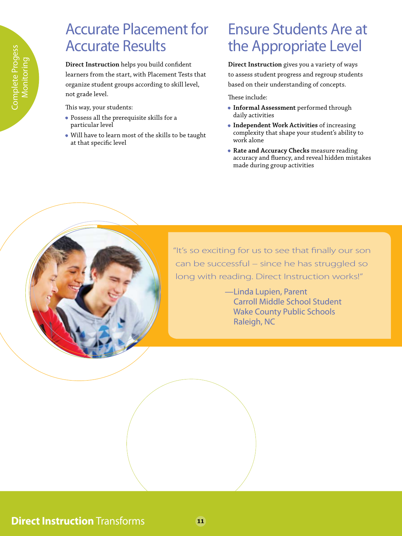### Accurate Placement for Accurate Results

**Direct Instruction** helps you build confident learners from the start, with Placement Tests that organize student groups according to skill level, not grade level.

This way, your students:

- Possess all the prerequisite skills for a particular level
- Will have to learn most of the skills to be taught at that specific level

#### Ensure Students Are at the Appropriate Level

**Direct Instruction** gives you a variety of ways to assess student progress and regroup students based on their understanding of concepts.

These include:

- **Informal Assessment** performed through daily activities
- **Independent Work Activities** of increasing complexity that shape your student's ability to work alone
- **Rate and Accuracy Checks** measure reading accuracy and fluency, and reveal hidden mistakes made during group activities



"It's so exciting for us to see that finally our son can be successful – since he has struggled so long with reading. Direct Instruction works!"

> —Linda Lupien, Parent Carroll Middle School Student Wake County Public Schools Raleigh, NC

#### **Direct Instruction** Transforms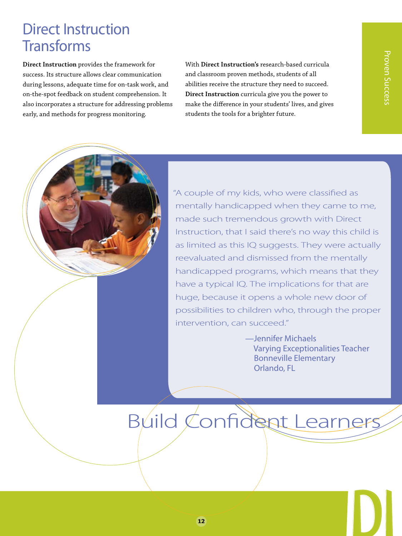#### Direct Instruction **Transforms**

**Direct Instruction** provides the framework for success. Its structure allows clear communication during lessons, adequate time for on-task work, and on-the-spot feedback on student comprehension. It also incorporates a structure for addressing problems early, and methods for progress monitoring.

With **Direct Instruction's** research-based curricula and classroom proven methods, students of all abilities receive the structure they need to succeed. **Direct Instruction** curricula give you the power to make the difference in your students' lives, and gives students the tools for a brighter future.



"A couple of my kids, who were classified as mentally handicapped when they came to me, made such tremendous growth with Direct Instruction, that I said there's no way this child is as limited as this IQ suggests. They were actually reevaluated and dismissed from the mentally handicapped programs, which means that they have a typical IQ. The implications for that are huge, because it opens a whole new door of possibilities to children who, through the proper intervention, can succeed."

> —Jennifer Michaels Varying Exceptionalities Teacher Bonneville Elementary Orlando, FL

# Build Confident Learners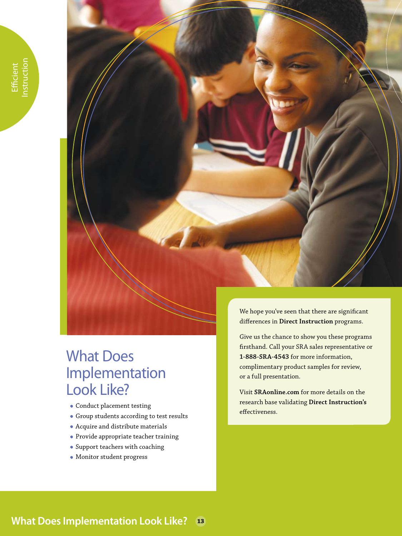

### What Does Implementation Look Like?

- Conduct placement testing
- Group students according to test results
- Acquire and distribute materials
- Provide appropriate teacher training
- Support teachers with coaching
- Monitor student progress

We hope you've seen that there are significant differences in **Direct Instruction** programs.

Give us the chance to show you these programs firsthand. Call your SRA sales representative or **1-888-SRA-4543** for more information, complimentary product samples for review, or a full presentation.

Visit **SRAonline.com** for more details on the research base validating **Direct Instruction's** effectiveness.